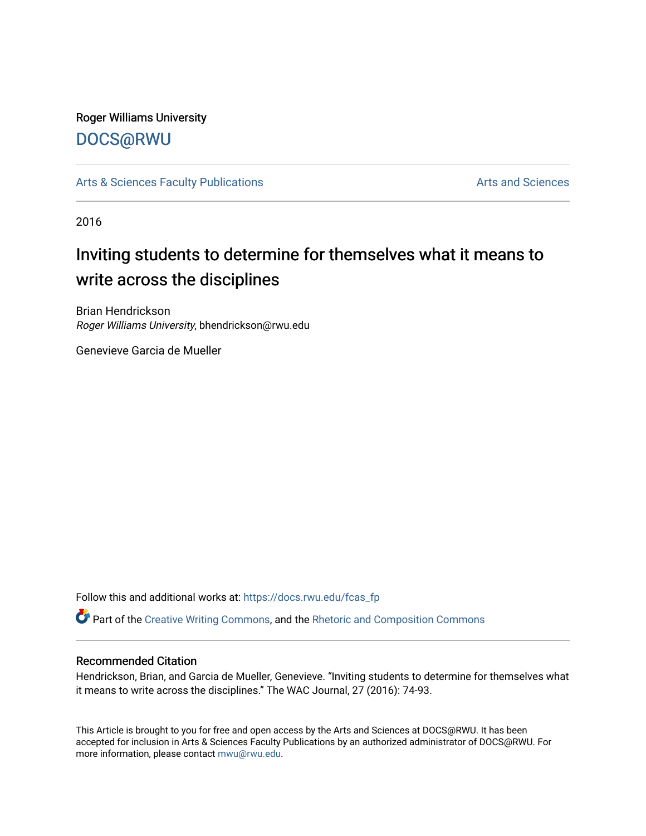## Roger Williams University [DOCS@RWU](https://docs.rwu.edu/)

[Arts & Sciences Faculty Publications](https://docs.rwu.edu/fcas_fp) **Arts and Sciences** Arts and Sciences

2016

# Inviting students to determine for themselves what it means to write across the disciplines

Brian Hendrickson Roger Williams University, bhendrickson@rwu.edu

Genevieve Garcia de Mueller

Follow this and additional works at: [https://docs.rwu.edu/fcas\\_fp](https://docs.rwu.edu/fcas_fp?utm_source=docs.rwu.edu%2Ffcas_fp%2F321&utm_medium=PDF&utm_campaign=PDFCoverPages)

Part of the [Creative Writing Commons](http://network.bepress.com/hgg/discipline/574?utm_source=docs.rwu.edu%2Ffcas_fp%2F321&utm_medium=PDF&utm_campaign=PDFCoverPages), and the [Rhetoric and Composition Commons](http://network.bepress.com/hgg/discipline/573?utm_source=docs.rwu.edu%2Ffcas_fp%2F321&utm_medium=PDF&utm_campaign=PDFCoverPages) 

### Recommended Citation

Hendrickson, Brian, and Garcia de Mueller, Genevieve. "Inviting students to determine for themselves what it means to write across the disciplines." The WAC Journal, 27 (2016): 74-93.

This Article is brought to you for free and open access by the Arts and Sciences at DOCS@RWU. It has been accepted for inclusion in Arts & Sciences Faculty Publications by an authorized administrator of DOCS@RWU. For more information, please contact [mwu@rwu.edu](mailto:mwu@rwu.edu).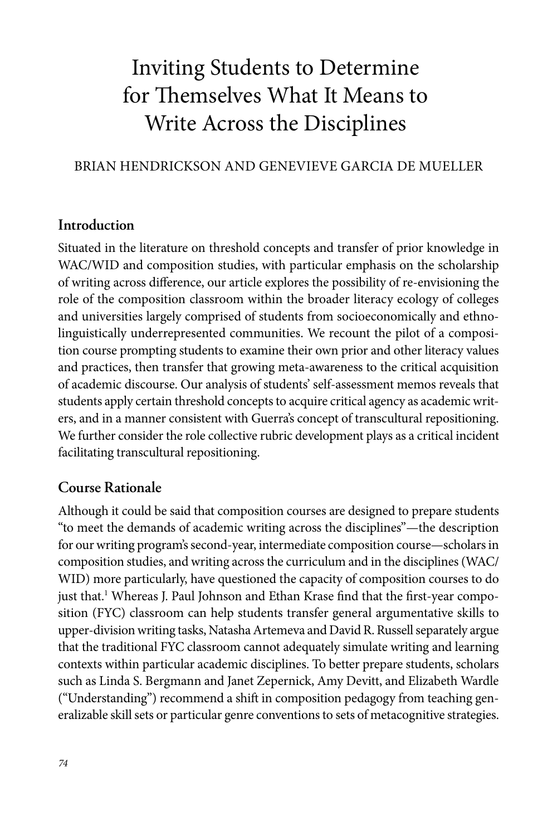## Inviting Students to Determine for Themselves What It Means to Write Across the Disciplines

### BRIAN HENDRICKSON AND GENEVIEVE GARCIA DE MUELLER

#### **Introduction**

Situated in the literature on threshold concepts and transfer of prior knowledge in WAC/WID and composition studies, with particular emphasis on the scholarship of writing across difference, our article explores the possibility of re-envisioning the role of the composition classroom within the broader literacy ecology of colleges and universities largely comprised of students from socioeconomically and ethnolinguistically underrepresented communities. We recount the pilot of a composition course prompting students to examine their own prior and other literacy values and practices, then transfer that growing meta-awareness to the critical acquisition of academic discourse. Our analysis of students' self-assessment memos reveals that students apply certain threshold concepts to acquire critical agency as academic writers, and in a manner consistent with Guerra's concept of transcultural repositioning. We further consider the role collective rubric development plays as a critical incident facilitating transcultural repositioning.

### **Course Rationale**

Although it could be said that composition courses are designed to prepare students "to meet the demands of academic writing across the disciplines"—the description for our writing program's second-year, intermediate composition course—scholars in composition studies, and writing across the curriculum and in the disciplines (WAC/ WID) more particularly, have questioned the capacity of composition courses to do just that.<sup>1</sup> Whereas J. Paul Johnson and Ethan Krase find that the first-year composition (FYC) classroom can help students transfer general argumentative skills to upper-division writing tasks, Natasha Artemeva and David R. Russell separately argue that the traditional FYC classroom cannot adequately simulate writing and learning contexts within particular academic disciplines. To better prepare students, scholars such as Linda S. Bergmann and Janet Zepernick, Amy Devitt, and Elizabeth Wardle ("Understanding") recommend a shift in composition pedagogy from teaching generalizable skill sets or particular genre conventions to sets of metacognitive strategies.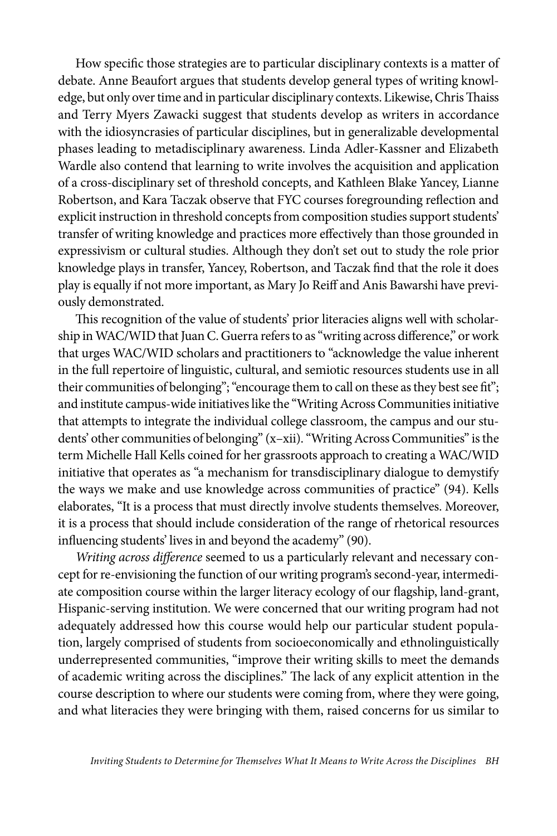How specific those strategies are to particular disciplinary contexts is a matter of debate. Anne Beaufort argues that students develop general types of writing knowledge, but only over time and in particular disciplinary contexts. Likewise, Chris Thaiss and Terry Myers Zawacki suggest that students develop as writers in accordance with the idiosyncrasies of particular disciplines, but in generalizable developmental phases leading to metadisciplinary awareness. Linda Adler-Kassner and Elizabeth Wardle also contend that learning to write involves the acquisition and application of a cross-disciplinary set of threshold concepts, and Kathleen Blake Yancey, Lianne Robertson, and Kara Taczak observe that FYC courses foregrounding reflection and explicit instruction in threshold concepts from composition studies support students' transfer of writing knowledge and practices more effectively than those grounded in expressivism or cultural studies. Although they don't set out to study the role prior knowledge plays in transfer, Yancey, Robertson, and Taczak find that the role it does play is equally if not more important, as Mary Jo Reiff and Anis Bawarshi have previously demonstrated.

This recognition of the value of students' prior literacies aligns well with scholarship in WAC/WID that Juan C. Guerra refers to as "writing across difference," or work that urges WAC/WID scholars and practitioners to "acknowledge the value inherent in the full repertoire of linguistic, cultural, and semiotic resources students use in all their communities of belonging"; "encourage them to call on these as they best see fit"; and institute campus-wide initiatives like the "Writing Across Communities initiative that attempts to integrate the individual college classroom, the campus and our students' other communities of belonging" (x–xii). "Writing Across Communities" is the term Michelle Hall Kells coined for her grassroots approach to creating a WAC/WID initiative that operates as "a mechanism for transdisciplinary dialogue to demystify the ways we make and use knowledge across communities of practice" (94). Kells elaborates, "It is a process that must directly involve students themselves. Moreover, it is a process that should include consideration of the range of rhetorical resources influencing students' lives in and beyond the academy" (90).

*Writing across difference* seemed to us a particularly relevant and necessary concept for re-envisioning the function of our writing program's second-year, intermediate composition course within the larger literacy ecology of our flagship, land-grant, Hispanic-serving institution. We were concerned that our writing program had not adequately addressed how this course would help our particular student population, largely comprised of students from socioeconomically and ethnolinguistically underrepresented communities, "improve their writing skills to meet the demands of academic writing across the disciplines." The lack of any explicit attention in the course description to where our students were coming from, where they were going, and what literacies they were bringing with them, raised concerns for us similar to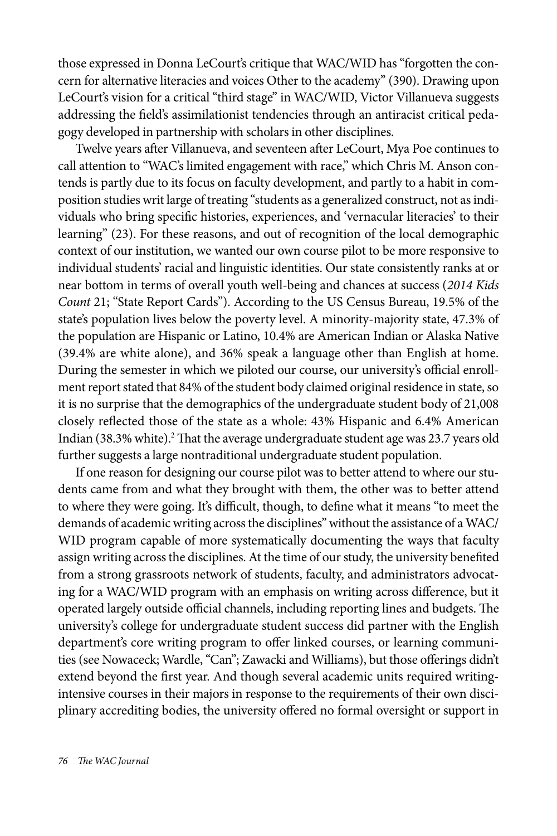those expressed in Donna LeCourt's critique that WAC/WID has "forgotten the concern for alternative literacies and voices Other to the academy" (390). Drawing upon LeCourt's vision for a critical "third stage" in WAC/WID, Victor Villanueva suggests addressing the field's assimilationist tendencies through an antiracist critical pedagogy developed in partnership with scholars in other disciplines.

Twelve years after Villanueva, and seventeen after LeCourt, Mya Poe continues to call attention to "WAC's limited engagement with race," which Chris M. Anson contends is partly due to its focus on faculty development, and partly to a habit in composition studies writ large of treating "students as a generalized construct, not as individuals who bring specific histories, experiences, and 'vernacular literacies' to their learning" (23). For these reasons, and out of recognition of the local demographic context of our institution, we wanted our own course pilot to be more responsive to individual students' racial and linguistic identities. Our state consistently ranks at or near bottom in terms of overall youth well-being and chances at success (*2014 Kids Count* 21; "State Report Cards"). According to the US Census Bureau, 19.5% of the state's population lives below the poverty level. A minority-majority state, 47.3% of the population are Hispanic or Latino, 10.4% are American Indian or Alaska Native (39.4% are white alone), and 36% speak a language other than English at home. During the semester in which we piloted our course, our university's official enrollment report stated that 84% of the student body claimed original residence in state, so it is no surprise that the demographics of the undergraduate student body of 21,008 closely reflected those of the state as a whole: 43% Hispanic and 6.4% American Indian (38.3% white).<sup>2</sup> That the average undergraduate student age was 23.7 years old further suggests a large nontraditional undergraduate student population.

If one reason for designing our course pilot was to better attend to where our students came from and what they brought with them, the other was to better attend to where they were going. It's difficult, though, to define what it means "to meet the demands of academic writing across the disciplines" without the assistance of a WAC/ WID program capable of more systematically documenting the ways that faculty assign writing across the disciplines. At the time of our study, the university benefited from a strong grassroots network of students, faculty, and administrators advocating for a WAC/WID program with an emphasis on writing across difference, but it operated largely outside official channels, including reporting lines and budgets. The university's college for undergraduate student success did partner with the English department's core writing program to offer linked courses, or learning communities (see Nowaceck; Wardle, "Can"; Zawacki and Williams), but those offerings didn't extend beyond the first year. And though several academic units required writingintensive courses in their majors in response to the requirements of their own disciplinary accrediting bodies, the university offered no formal oversight or support in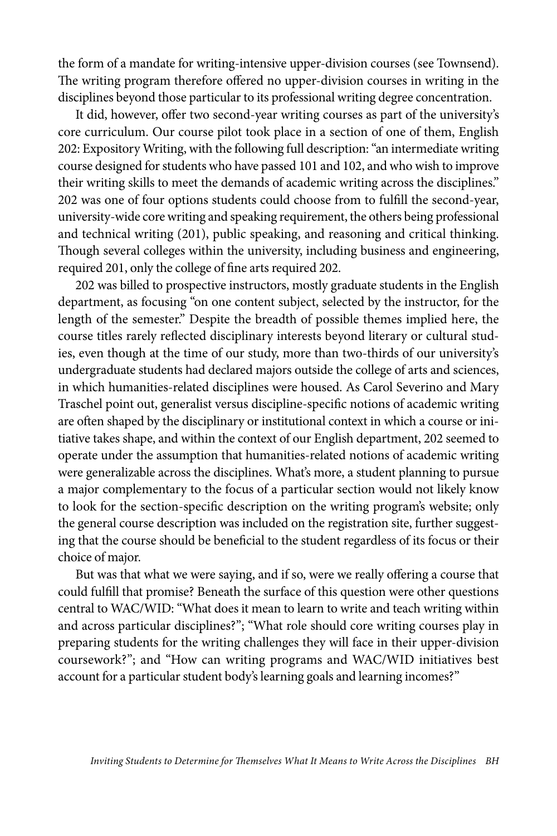the form of a mandate for writing-intensive upper-division courses (see Townsend). The writing program therefore offered no upper-division courses in writing in the disciplines beyond those particular to its professional writing degree concentration.

It did, however, offer two second-year writing courses as part of the university's core curriculum. Our course pilot took place in a section of one of them, English 202: Expository Writing, with the following full description: "an intermediate writing course designed for students who have passed 101 and 102, and who wish to improve their writing skills to meet the demands of academic writing across the disciplines." 202 was one of four options students could choose from to fulfill the second-year, university-wide core writing and speaking requirement, the others being professional and technical writing (201), public speaking, and reasoning and critical thinking. Though several colleges within the university, including business and engineering, required 201, only the college of fine arts required 202.

202 was billed to prospective instructors, mostly graduate students in the English department, as focusing "on one content subject, selected by the instructor, for the length of the semester." Despite the breadth of possible themes implied here, the course titles rarely reflected disciplinary interests beyond literary or cultural studies, even though at the time of our study, more than two-thirds of our university's undergraduate students had declared majors outside the college of arts and sciences, in which humanities-related disciplines were housed. As Carol Severino and Mary Traschel point out, generalist versus discipline-specific notions of academic writing are often shaped by the disciplinary or institutional context in which a course or initiative takes shape, and within the context of our English department, 202 seemed to operate under the assumption that humanities-related notions of academic writing were generalizable across the disciplines. What's more, a student planning to pursue a major complementary to the focus of a particular section would not likely know to look for the section-specific description on the writing program's website; only the general course description was included on the registration site, further suggesting that the course should be beneficial to the student regardless of its focus or their choice of major.

But was that what we were saying, and if so, were we really offering a course that could fulfill that promise? Beneath the surface of this question were other questions central to WAC/WID: "What does it mean to learn to write and teach writing within and across particular disciplines?"; "What role should core writing courses play in preparing students for the writing challenges they will face in their upper-division coursework?"; and "How can writing programs and WAC/WID initiatives best account for a particular student body's learning goals and learning incomes?"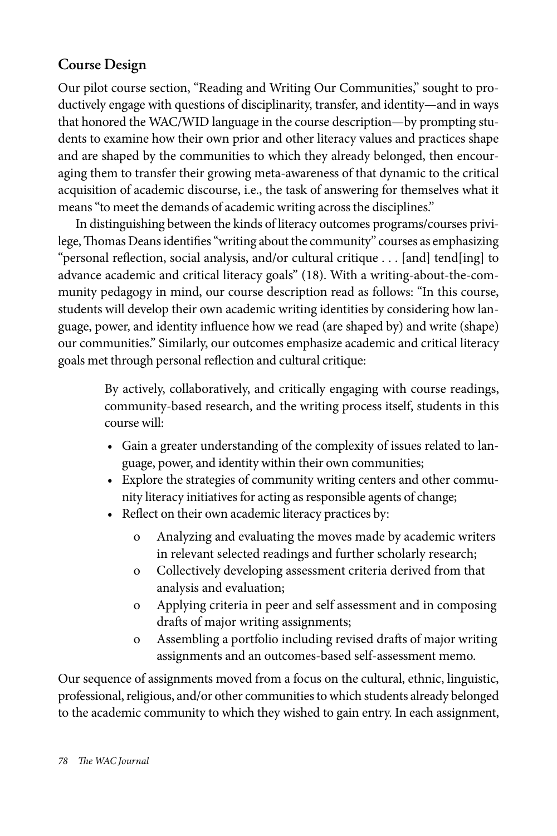## **Course Design**

Our pilot course section, "Reading and Writing Our Communities," sought to productively engage with questions of disciplinarity, transfer, and identity—and in ways that honored the WAC/WID language in the course description—by prompting students to examine how their own prior and other literacy values and practices shape and are shaped by the communities to which they already belonged, then encouraging them to transfer their growing meta-awareness of that dynamic to the critical acquisition of academic discourse, i.e., the task of answering for themselves what it means "to meet the demands of academic writing across the disciplines."

In distinguishing between the kinds of literacy outcomes programs/courses privilege, Thomas Deans identifies "writing about the community" courses as emphasizing "personal reflection, social analysis, and/or cultural critique . . . [and] tend[ing] to advance academic and critical literacy goals" (18). With a writing-about-the-community pedagogy in mind, our course description read as follows: "In this course, students will develop their own academic writing identities by considering how language, power, and identity influence how we read (are shaped by) and write (shape) our communities." Similarly, our outcomes emphasize academic and critical literacy goals met through personal reflection and cultural critique:

> By actively, collaboratively, and critically engaging with course readings, community-based research, and the writing process itself, students in this course will:

- Gain a greater understanding of the complexity of issues related to language, power, and identity within their own communities;
- Explore the strategies of community writing centers and other community literacy initiatives for acting as responsible agents of change;
- Reflect on their own academic literacy practices by:
	- o Analyzing and evaluating the moves made by academic writers in relevant selected readings and further scholarly research;
	- o Collectively developing assessment criteria derived from that analysis and evaluation;
	- o Applying criteria in peer and self assessment and in composing drafts of major writing assignments;
	- o Assembling a portfolio including revised drafts of major writing assignments and an outcomes-based self-assessment memo.

Our sequence of assignments moved from a focus on the cultural, ethnic, linguistic, professional, religious, and/or other communities to which students already belonged to the academic community to which they wished to gain entry. In each assignment,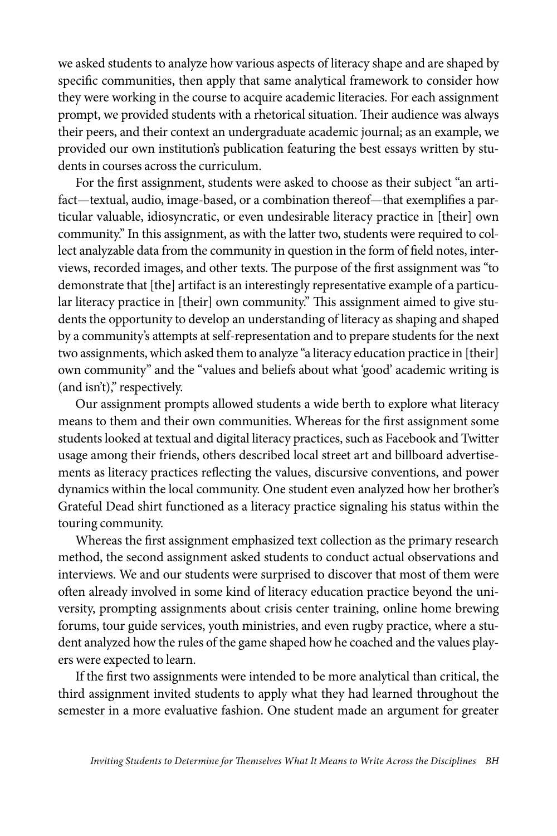we asked students to analyze how various aspects of literacy shape and are shaped by specific communities, then apply that same analytical framework to consider how they were working in the course to acquire academic literacies. For each assignment prompt, we provided students with a rhetorical situation. Their audience was always their peers, and their context an undergraduate academic journal; as an example, we provided our own institution's publication featuring the best essays written by students in courses across the curriculum.

For the first assignment, students were asked to choose as their subject "an artifact—textual, audio, image-based, or a combination thereof—that exemplifies a particular valuable, idiosyncratic, or even undesirable literacy practice in [their] own community." In this assignment, as with the latter two, students were required to collect analyzable data from the community in question in the form of field notes, interviews, recorded images, and other texts. The purpose of the first assignment was "to demonstrate that [the] artifact is an interestingly representative example of a particular literacy practice in [their] own community." This assignment aimed to give students the opportunity to develop an understanding of literacy as shaping and shaped by a community's attempts at self-representation and to prepare students for the next two assignments, which asked them to analyze "a literacy education practice in [their] own community" and the "values and beliefs about what 'good' academic writing is (and isn't)," respectively.

Our assignment prompts allowed students a wide berth to explore what literacy means to them and their own communities. Whereas for the first assignment some students looked at textual and digital literacy practices, such as Facebook and Twitter usage among their friends, others described local street art and billboard advertisements as literacy practices reflecting the values, discursive conventions, and power dynamics within the local community. One student even analyzed how her brother's Grateful Dead shirt functioned as a literacy practice signaling his status within the touring community.

Whereas the first assignment emphasized text collection as the primary research method, the second assignment asked students to conduct actual observations and interviews. We and our students were surprised to discover that most of them were often already involved in some kind of literacy education practice beyond the university, prompting assignments about crisis center training, online home brewing forums, tour guide services, youth ministries, and even rugby practice, where a student analyzed how the rules of the game shaped how he coached and the values players were expected to learn.

If the first two assignments were intended to be more analytical than critical, the third assignment invited students to apply what they had learned throughout the semester in a more evaluative fashion. One student made an argument for greater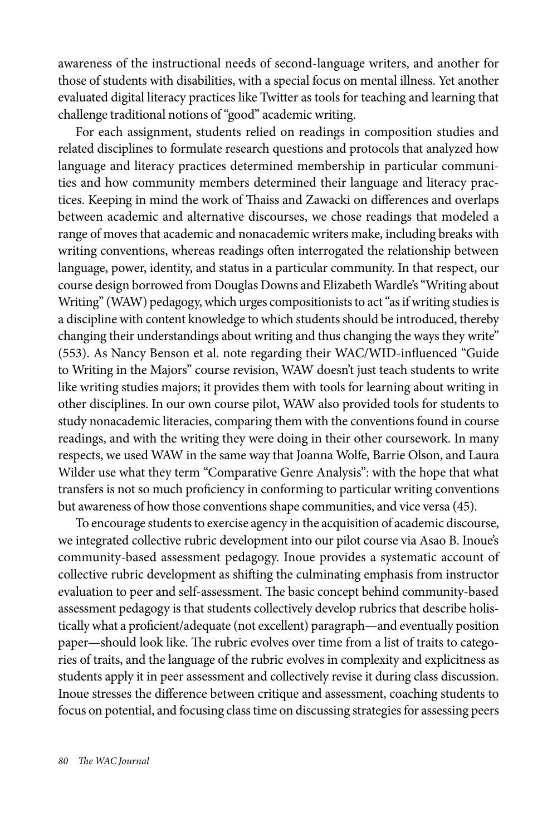awareness of the instructional needs of second-language writers, and another for those of students with disabilities, with a special focus on mental illness. Yet another evaluated digital literacy practices like Twitter as tools for teaching and learning that challenge traditional notions of "good" academic writing.

For each assignment, students relied on readings in composition studies and related disciplines to formulate research questions and protocols that analyzed how language and literacy practices determined membership in particular communities and how community members determined their language and literacy practices. Keeping in mind the work of Thaiss and Zawacki on differences and overlaps between academic and alternative discourses, we chose readings that modeled a range of moves that academic and nonacademic writers make, including breaks with writing conventions, whereas readings often interrogated the relationship between language, power, identity, and status in a particular community. In that respect, our course design borrowed from Douglas Downs and Elizabeth Wardle's "Writing about Writing" (WAW) pedagogy, which urges compositionists to act "as if writing studies is a discipline with content knowledge to which students should be introduced, thereby changing their understandings about writing and thus changing the ways they write" (553). As Nancy Benson et al. note regarding their WAC/WID-influenced "Guide to Writing in the Majors" course revision, WAW doesn't just teach students to write like writing studies majors; it provides them with tools for learning about writing in other disciplines. In our own course pilot, WAW also provided tools for students to study nonacademic literacies, comparing them with the conventions found in course readings, and with the writing they were doing in their other coursework. In many respects, we used WAW in the same way that Joanna Wolfe, Barrie Olson, and Laura Wilder use what they term "Comparative Genre Analysis": with the hope that what transfers is not so much proficiency in conforming to particular writing conventions but awareness of how those conventions shape communities, and vice versa (45).

To encourage students to exercise agency in the acquisition of academic discourse, we integrated collective rubric development into our pilot course via Asao B. Inoue's community-based assessment pedagogy. Inoue provides a systematic account of collective rubric development as shifting the culminating emphasis from instructor evaluation to peer and self-assessment. The basic concept behind community-based assessment pedagogy is that students collectively develop rubrics that describe holistically what a proficient/adequate (not excellent) paragraph—and eventually position paper—should look like. The rubric evolves over time from a list of traits to categories of traits, and the language of the rubric evolves in complexity and explicitness as students apply it in peer assessment and collectively revise it during class discussion. Inoue stresses the difference between critique and assessment, coaching students to focus on potential, and focusing class time on discussing strategies for assessing peers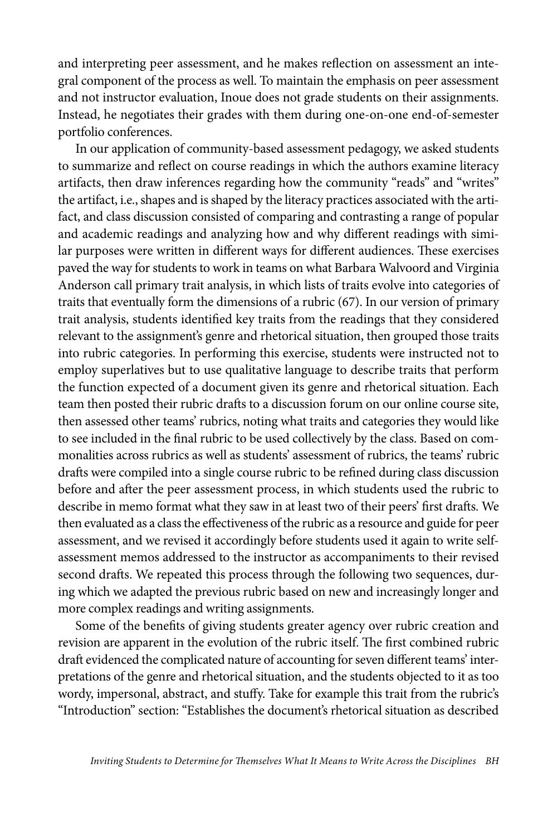and interpreting peer assessment, and he makes reflection on assessment an integral component of the process as well. To maintain the emphasis on peer assessment and not instructor evaluation, Inoue does not grade students on their assignments. Instead, he negotiates their grades with them during one-on-one end-of-semester portfolio conferences.

In our application of community-based assessment pedagogy, we asked students to summarize and reflect on course readings in which the authors examine literacy artifacts, then draw inferences regarding how the community "reads" and "writes" the artifact, i.e., shapes and is shaped by the literacy practices associated with the artifact, and class discussion consisted of comparing and contrasting a range of popular and academic readings and analyzing how and why different readings with similar purposes were written in different ways for different audiences. These exercises paved the way for students to work in teams on what Barbara Walvoord and Virginia Anderson call primary trait analysis, in which lists of traits evolve into categories of traits that eventually form the dimensions of a rubric (67). In our version of primary trait analysis, students identified key traits from the readings that they considered relevant to the assignment's genre and rhetorical situation, then grouped those traits into rubric categories. In performing this exercise, students were instructed not to employ superlatives but to use qualitative language to describe traits that perform the function expected of a document given its genre and rhetorical situation. Each team then posted their rubric drafts to a discussion forum on our online course site, then assessed other teams' rubrics, noting what traits and categories they would like to see included in the final rubric to be used collectively by the class. Based on commonalities across rubrics as well as students' assessment of rubrics, the teams' rubric drafts were compiled into a single course rubric to be refined during class discussion before and after the peer assessment process, in which students used the rubric to describe in memo format what they saw in at least two of their peers' first drafts. We then evaluated as a class the effectiveness of the rubric as a resource and guide for peer assessment, and we revised it accordingly before students used it again to write selfassessment memos addressed to the instructor as accompaniments to their revised second drafts. We repeated this process through the following two sequences, during which we adapted the previous rubric based on new and increasingly longer and more complex readings and writing assignments.

Some of the benefits of giving students greater agency over rubric creation and revision are apparent in the evolution of the rubric itself. The first combined rubric draft evidenced the complicated nature of accounting for seven different teams' interpretations of the genre and rhetorical situation, and the students objected to it as too wordy, impersonal, abstract, and stuffy. Take for example this trait from the rubric's "Introduction" section: "Establishes the document's rhetorical situation as described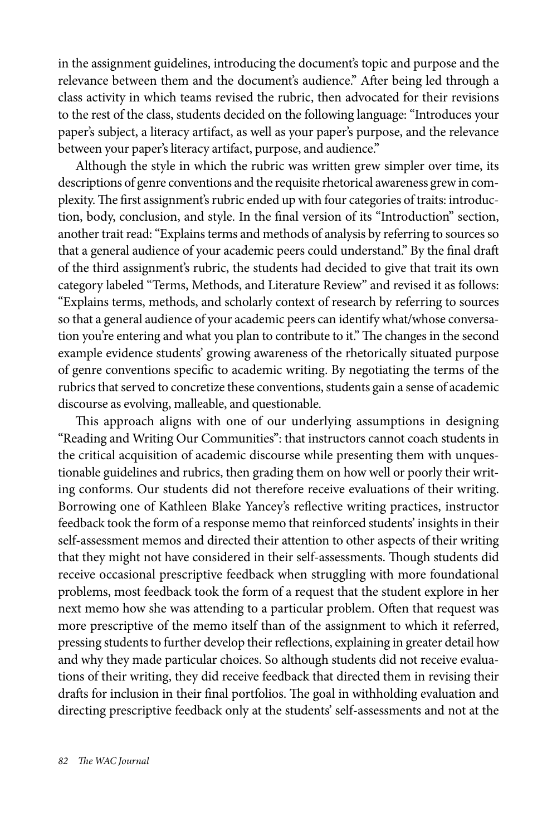in the assignment guidelines, introducing the document's topic and purpose and the relevance between them and the document's audience." After being led through a class activity in which teams revised the rubric, then advocated for their revisions to the rest of the class, students decided on the following language: "Introduces your paper's subject, a literacy artifact, as well as your paper's purpose, and the relevance between your paper's literacy artifact, purpose, and audience."

Although the style in which the rubric was written grew simpler over time, its descriptions of genre conventions and the requisite rhetorical awareness grew in complexity. The first assignment's rubric ended up with four categories of traits: introduction, body, conclusion, and style. In the final version of its "Introduction" section, another trait read: "Explains terms and methods of analysis by referring to sources so that a general audience of your academic peers could understand." By the final draft of the third assignment's rubric, the students had decided to give that trait its own category labeled "Terms, Methods, and Literature Review" and revised it as follows: "Explains terms, methods, and scholarly context of research by referring to sources so that a general audience of your academic peers can identify what/whose conversation you're entering and what you plan to contribute to it." The changes in the second example evidence students' growing awareness of the rhetorically situated purpose of genre conventions specific to academic writing. By negotiating the terms of the rubrics that served to concretize these conventions, students gain a sense of academic discourse as evolving, malleable, and questionable.

This approach aligns with one of our underlying assumptions in designing "Reading and Writing Our Communities": that instructors cannot coach students in the critical acquisition of academic discourse while presenting them with unquestionable guidelines and rubrics, then grading them on how well or poorly their writing conforms. Our students did not therefore receive evaluations of their writing. Borrowing one of Kathleen Blake Yancey's reflective writing practices, instructor feedback took the form of a response memo that reinforced students' insights in their self-assessment memos and directed their attention to other aspects of their writing that they might not have considered in their self-assessments. Though students did receive occasional prescriptive feedback when struggling with more foundational problems, most feedback took the form of a request that the student explore in her next memo how she was attending to a particular problem. Often that request was more prescriptive of the memo itself than of the assignment to which it referred, pressing students to further develop their reflections, explaining in greater detail how and why they made particular choices. So although students did not receive evaluations of their writing, they did receive feedback that directed them in revising their drafts for inclusion in their final portfolios. The goal in withholding evaluation and directing prescriptive feedback only at the students' self-assessments and not at the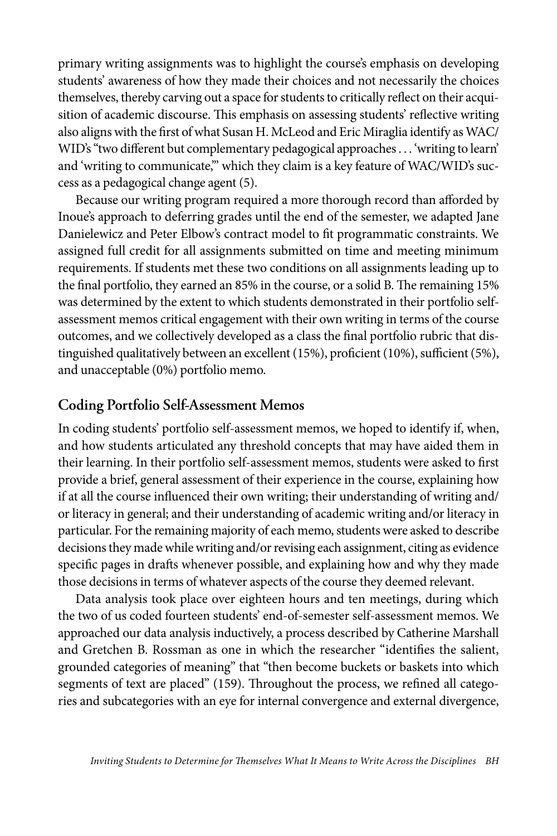primary writing assignments was to highlight the course's emphasis on developing students' awareness of how they made their choices and not necessarily the choices themselves, thereby carving out a space for students to critically reflect on their acquisition of academic discourse. This emphasis on assessing students' reflective writing also aligns with the first of what Susan H. McLeod and Eric Miraglia identify as WAC/ WID's "two different but complementary pedagogical approaches . . . 'writing to learn' and 'writing to communicate," which they claim is a key feature of WAC/WID's success as a pedagogical change agent (5).

Because our writing program required a more thorough record than afforded by Inoue's approach to deferring grades until the end of the semester, we adapted Jane Danielewicz and Peter Elbow's contract model to fit programmatic constraints. We assigned full credit for all assignments submitted on time and meeting minimum requirements. If students met these two conditions on all assignments leading up to the final portfolio, they earned an 85% in the course, or a solid B. The remaining 15% was determined by the extent to which students demonstrated in their portfolio selfassessment memos critical engagement with their own writing in terms of the course outcomes, and we collectively developed as a class the final portfolio rubric that distinguished qualitatively between an excellent (15%), proficient (10%), sufficient (5%), and unacceptable (0%) portfolio memo.

## **Coding Portfolio Self-Assessment Memos**

In coding students' portfolio self-assessment memos, we hoped to identify if, when, and how students articulated any threshold concepts that may have aided them in their learning. In their portfolio self-assessment memos, students were asked to first provide a brief, general assessment of their experience in the course, explaining how if at all the course influenced their own writing; their understanding of writing and/ or literacy in general; and their understanding of academic writing and/or literacy in particular. For the remaining majority of each memo, students were asked to describe decisions they made while writing and/or revising each assignment, citing as evidence specific pages in drafts whenever possible, and explaining how and why they made those decisions in terms of whatever aspects of the course they deemed relevant.

Data analysis took place over eighteen hours and ten meetings, during which the two of us coded fourteen students' end-of-semester self-assessment memos. We approached our data analysis inductively, a process described by Catherine Marshall and Gretchen B. Rossman as one in which the researcher "identifies the salient, grounded categories of meaning" that "then become buckets or baskets into which segments of text are placed" (159). Throughout the process, we refined all categories and subcategories with an eye for internal convergence and external divergence,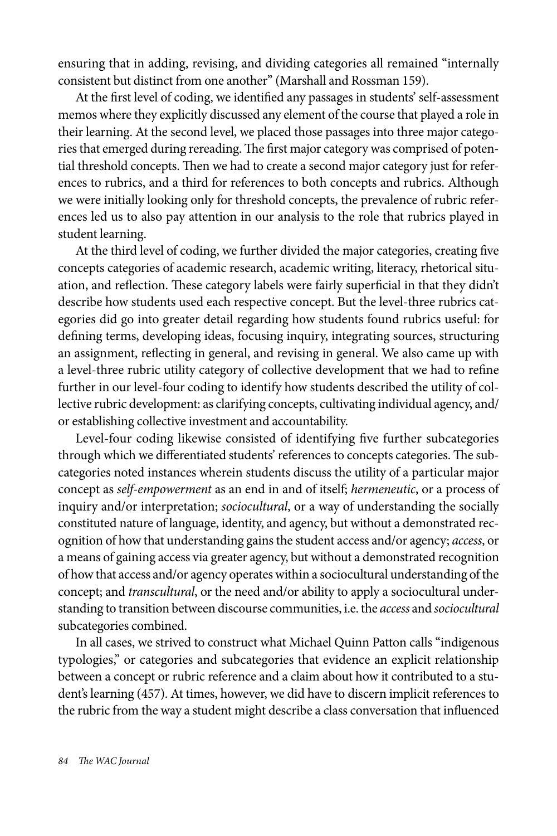ensuring that in adding, revising, and dividing categories all remained "internally consistent but distinct from one another" (Marshall and Rossman 159).

At the first level of coding, we identified any passages in students' self-assessment memos where they explicitly discussed any element of the course that played a role in their learning. At the second level, we placed those passages into three major categories that emerged during rereading. The first major category was comprised of potential threshold concepts. Then we had to create a second major category just for references to rubrics, and a third for references to both concepts and rubrics. Although we were initially looking only for threshold concepts, the prevalence of rubric references led us to also pay attention in our analysis to the role that rubrics played in student learning.

At the third level of coding, we further divided the major categories, creating five concepts categories of academic research, academic writing, literacy, rhetorical situation, and reflection. These category labels were fairly superficial in that they didn't describe how students used each respective concept. But the level-three rubrics categories did go into greater detail regarding how students found rubrics useful: for defining terms, developing ideas, focusing inquiry, integrating sources, structuring an assignment, reflecting in general, and revising in general. We also came up with a level-three rubric utility category of collective development that we had to refine further in our level-four coding to identify how students described the utility of collective rubric development: as clarifying concepts, cultivating individual agency, and/ or establishing collective investment and accountability.

Level-four coding likewise consisted of identifying five further subcategories through which we differentiated students' references to concepts categories. The subcategories noted instances wherein students discuss the utility of a particular major concept as *self-empowerment* as an end in and of itself; *hermeneutic*, or a process of inquiry and/or interpretation; *sociocultural*, or a way of understanding the socially constituted nature of language, identity, and agency, but without a demonstrated recognition of how that understanding gains the student access and/or agency; *access*, or a means of gaining access via greater agency, but without a demonstrated recognition of how that access and/or agency operates within a sociocultural understanding of the concept; and *transcultural*, or the need and/or ability to apply a sociocultural understanding to transition between discourse communities, i.e. the *access* and *sociocultural* subcategories combined.

In all cases, we strived to construct what Michael Quinn Patton calls "indigenous typologies," or categories and subcategories that evidence an explicit relationship between a concept or rubric reference and a claim about how it contributed to a student's learning (457). At times, however, we did have to discern implicit references to the rubric from the way a student might describe a class conversation that influenced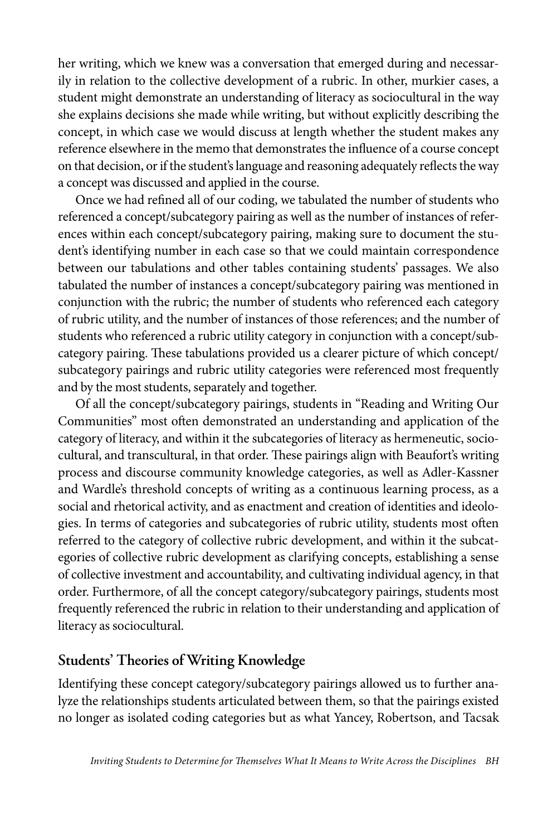her writing, which we knew was a conversation that emerged during and necessarily in relation to the collective development of a rubric. In other, murkier cases, a student might demonstrate an understanding of literacy as sociocultural in the way she explains decisions she made while writing, but without explicitly describing the concept, in which case we would discuss at length whether the student makes any reference elsewhere in the memo that demonstrates the influence of a course concept on that decision, or if the student's language and reasoning adequately reflects the way a concept was discussed and applied in the course.

Once we had refined all of our coding, we tabulated the number of students who referenced a concept/subcategory pairing as well as the number of instances of references within each concept/subcategory pairing, making sure to document the student's identifying number in each case so that we could maintain correspondence between our tabulations and other tables containing students' passages. We also tabulated the number of instances a concept/subcategory pairing was mentioned in conjunction with the rubric; the number of students who referenced each category of rubric utility, and the number of instances of those references; and the number of students who referenced a rubric utility category in conjunction with a concept/subcategory pairing. These tabulations provided us a clearer picture of which concept/ subcategory pairings and rubric utility categories were referenced most frequently and by the most students, separately and together.

Of all the concept/subcategory pairings, students in "Reading and Writing Our Communities" most often demonstrated an understanding and application of the category of literacy, and within it the subcategories of literacy as hermeneutic, sociocultural, and transcultural, in that order. These pairings align with Beaufort's writing process and discourse community knowledge categories, as well as Adler-Kassner and Wardle's threshold concepts of writing as a continuous learning process, as a social and rhetorical activity, and as enactment and creation of identities and ideologies. In terms of categories and subcategories of rubric utility, students most often referred to the category of collective rubric development, and within it the subcategories of collective rubric development as clarifying concepts, establishing a sense of collective investment and accountability, and cultivating individual agency, in that order. Furthermore, of all the concept category/subcategory pairings, students most frequently referenced the rubric in relation to their understanding and application of literacy as sociocultural.

## **Students' Theories of Writing Knowledge**

Identifying these concept category/subcategory pairings allowed us to further analyze the relationships students articulated between them, so that the pairings existed no longer as isolated coding categories but as what Yancey, Robertson, and Tacsak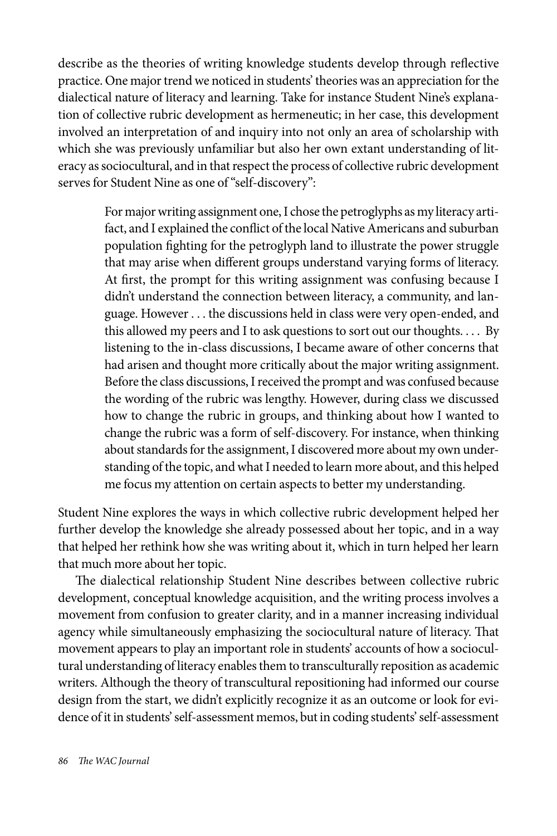describe as the theories of writing knowledge students develop through reflective practice. One major trend we noticed in students' theories was an appreciation for the dialectical nature of literacy and learning. Take for instance Student Nine's explanation of collective rubric development as hermeneutic; in her case, this development involved an interpretation of and inquiry into not only an area of scholarship with which she was previously unfamiliar but also her own extant understanding of literacy as sociocultural, and in that respect the process of collective rubric development serves for Student Nine as one of "self-discovery":

> For major writing assignment one, I chose the petroglyphs as my literacy artifact, and I explained the conflict of the local Native Americans and suburban population fighting for the petroglyph land to illustrate the power struggle that may arise when different groups understand varying forms of literacy. At first, the prompt for this writing assignment was confusing because I didn't understand the connection between literacy, a community, and language. However . . . the discussions held in class were very open-ended, and this allowed my peers and I to ask questions to sort out our thoughts. . . . By listening to the in-class discussions, I became aware of other concerns that had arisen and thought more critically about the major writing assignment. Before the class discussions, I received the prompt and was confused because the wording of the rubric was lengthy. However, during class we discussed how to change the rubric in groups, and thinking about how I wanted to change the rubric was a form of self-discovery. For instance, when thinking about standards for the assignment, I discovered more about my own understanding of the topic, and what I needed to learn more about, and this helped me focus my attention on certain aspects to better my understanding.

Student Nine explores the ways in which collective rubric development helped her further develop the knowledge she already possessed about her topic, and in a way that helped her rethink how she was writing about it, which in turn helped her learn that much more about her topic.

The dialectical relationship Student Nine describes between collective rubric development, conceptual knowledge acquisition, and the writing process involves a movement from confusion to greater clarity, and in a manner increasing individual agency while simultaneously emphasizing the sociocultural nature of literacy. That movement appears to play an important role in students' accounts of how a sociocultural understanding of literacy enables them to transculturally reposition as academic writers. Although the theory of transcultural repositioning had informed our course design from the start, we didn't explicitly recognize it as an outcome or look for evidence of it in students' self-assessment memos, but in coding students' self-assessment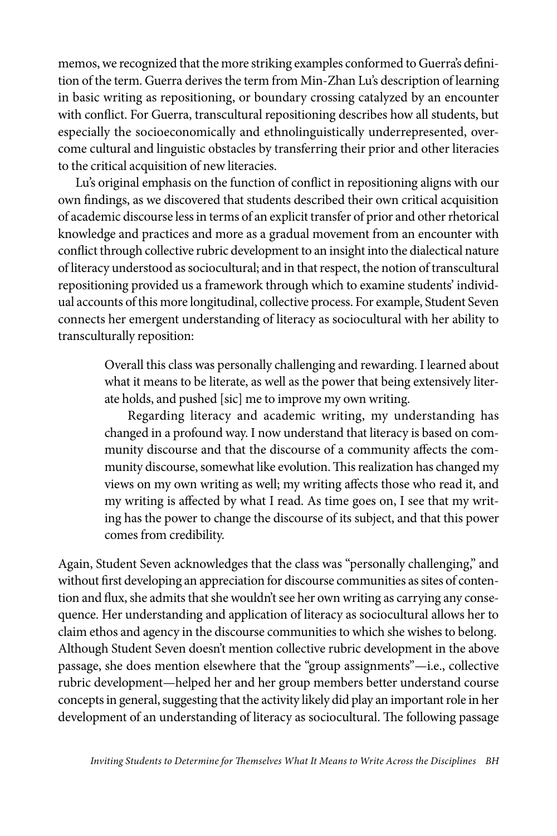memos, we recognized that the more striking examples conformed to Guerra's definition of the term. Guerra derives the term from Min-Zhan Lu's description of learning in basic writing as repositioning, or boundary crossing catalyzed by an encounter with conflict. For Guerra, transcultural repositioning describes how all students, but especially the socioeconomically and ethnolinguistically underrepresented, overcome cultural and linguistic obstacles by transferring their prior and other literacies to the critical acquisition of new literacies.

Lu's original emphasis on the function of conflict in repositioning aligns with our own findings, as we discovered that students described their own critical acquisition of academic discourse less in terms of an explicit transfer of prior and other rhetorical knowledge and practices and more as a gradual movement from an encounter with conflict through collective rubric development to an insight into the dialectical nature of literacy understood as sociocultural; and in that respect, the notion of transcultural repositioning provided us a framework through which to examine students' individual accounts of this more longitudinal, collective process. For example, Student Seven connects her emergent understanding of literacy as sociocultural with her ability to transculturally reposition:

> Overall this class was personally challenging and rewarding. I learned about what it means to be literate, as well as the power that being extensively literate holds, and pushed [sic] me to improve my own writing.

> Regarding literacy and academic writing, my understanding has changed in a profound way. I now understand that literacy is based on community discourse and that the discourse of a community affects the community discourse, somewhat like evolution. This realization has changed my views on my own writing as well; my writing affects those who read it, and my writing is affected by what I read. As time goes on, I see that my writing has the power to change the discourse of its subject, and that this power comes from credibility.

Again, Student Seven acknowledges that the class was "personally challenging," and without first developing an appreciation for discourse communities as sites of contention and flux, she admits that she wouldn't see her own writing as carrying any consequence. Her understanding and application of literacy as sociocultural allows her to claim ethos and agency in the discourse communities to which she wishes to belong. Although Student Seven doesn't mention collective rubric development in the above passage, she does mention elsewhere that the "group assignments"—i.e., collective rubric development—helped her and her group members better understand course concepts in general, suggesting that the activity likely did play an important role in her development of an understanding of literacy as sociocultural. The following passage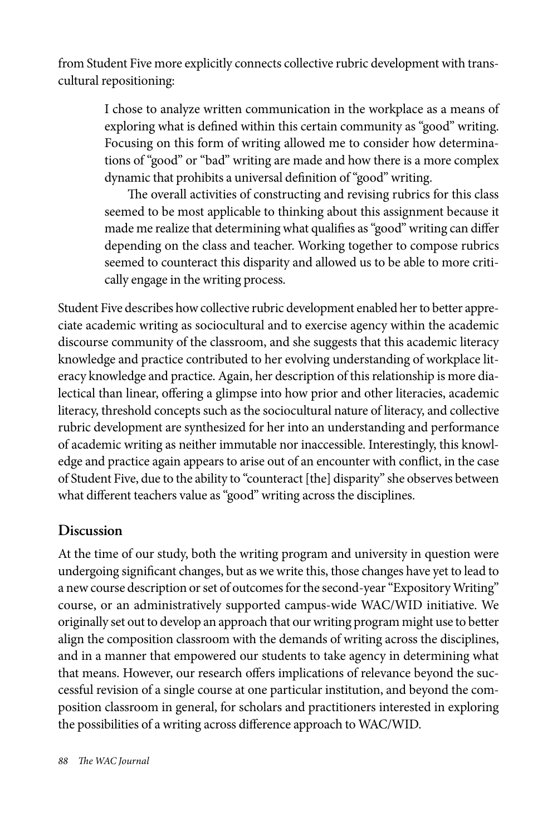from Student Five more explicitly connects collective rubric development with transcultural repositioning:

> I chose to analyze written communication in the workplace as a means of exploring what is defined within this certain community as "good" writing. Focusing on this form of writing allowed me to consider how determinations of "good" or "bad" writing are made and how there is a more complex dynamic that prohibits a universal definition of "good" writing.

> The overall activities of constructing and revising rubrics for this class seemed to be most applicable to thinking about this assignment because it made me realize that determining what qualifies as "good" writing can differ depending on the class and teacher. Working together to compose rubrics seemed to counteract this disparity and allowed us to be able to more critically engage in the writing process.

Student Five describes how collective rubric development enabled her to better appreciate academic writing as sociocultural and to exercise agency within the academic discourse community of the classroom, and she suggests that this academic literacy knowledge and practice contributed to her evolving understanding of workplace literacy knowledge and practice. Again, her description of this relationship is more dialectical than linear, offering a glimpse into how prior and other literacies, academic literacy, threshold concepts such as the sociocultural nature of literacy, and collective rubric development are synthesized for her into an understanding and performance of academic writing as neither immutable nor inaccessible. Interestingly, this knowledge and practice again appears to arise out of an encounter with conflict, in the case of Student Five, due to the ability to "counteract [the] disparity" she observes between what different teachers value as "good" writing across the disciplines.

## **Discussion**

At the time of our study, both the writing program and university in question were undergoing significant changes, but as we write this, those changes have yet to lead to a new course description or set of outcomes for the second-year "Expository Writing" course, or an administratively supported campus-wide WAC/WID initiative. We originally set out to develop an approach that our writing program might use to better align the composition classroom with the demands of writing across the disciplines, and in a manner that empowered our students to take agency in determining what that means. However, our research offers implications of relevance beyond the successful revision of a single course at one particular institution, and beyond the composition classroom in general, for scholars and practitioners interested in exploring the possibilities of a writing across difference approach to WAC/WID.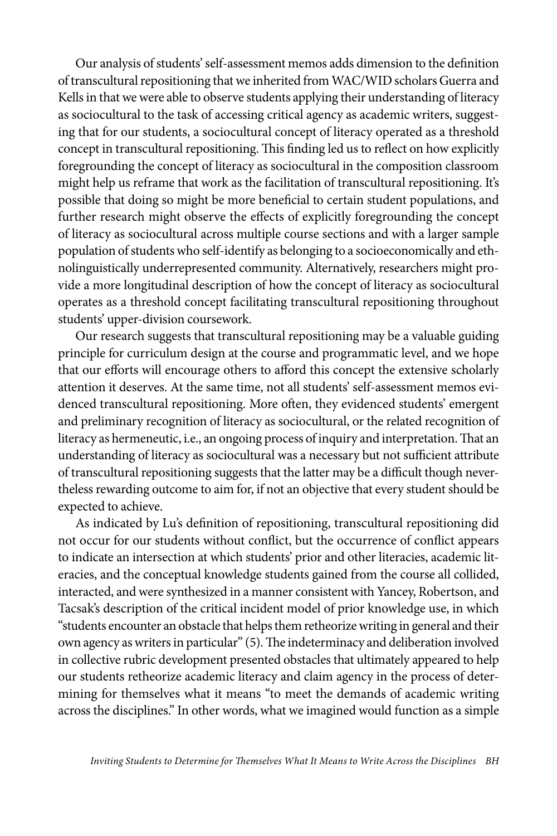Our analysis of students' self-assessment memos adds dimension to the definition of transcultural repositioning that we inherited from WAC/WID scholars Guerra and Kells in that we were able to observe students applying their understanding of literacy as sociocultural to the task of accessing critical agency as academic writers, suggesting that for our students, a sociocultural concept of literacy operated as a threshold concept in transcultural repositioning. This finding led us to reflect on how explicitly foregrounding the concept of literacy as sociocultural in the composition classroom might help us reframe that work as the facilitation of transcultural repositioning. It's possible that doing so might be more beneficial to certain student populations, and further research might observe the effects of explicitly foregrounding the concept of literacy as sociocultural across multiple course sections and with a larger sample population of students who self-identify as belonging to a socioeconomically and ethnolinguistically underrepresented community. Alternatively, researchers might provide a more longitudinal description of how the concept of literacy as sociocultural operates as a threshold concept facilitating transcultural repositioning throughout students' upper-division coursework.

Our research suggests that transcultural repositioning may be a valuable guiding principle for curriculum design at the course and programmatic level, and we hope that our efforts will encourage others to afford this concept the extensive scholarly attention it deserves. At the same time, not all students' self-assessment memos evidenced transcultural repositioning. More often, they evidenced students' emergent and preliminary recognition of literacy as sociocultural, or the related recognition of literacy as hermeneutic, i.e., an ongoing process of inquiry and interpretation. That an understanding of literacy as sociocultural was a necessary but not sufficient attribute of transcultural repositioning suggests that the latter may be a difficult though nevertheless rewarding outcome to aim for, if not an objective that every student should be expected to achieve.

As indicated by Lu's definition of repositioning, transcultural repositioning did not occur for our students without conflict, but the occurrence of conflict appears to indicate an intersection at which students' prior and other literacies, academic literacies, and the conceptual knowledge students gained from the course all collided, interacted, and were synthesized in a manner consistent with Yancey, Robertson, and Tacsak's description of the critical incident model of prior knowledge use, in which "students encounter an obstacle that helps them retheorize writing in general and their own agency as writers in particular" (5). The indeterminacy and deliberation involved in collective rubric development presented obstacles that ultimately appeared to help our students retheorize academic literacy and claim agency in the process of determining for themselves what it means "to meet the demands of academic writing across the disciplines." In other words, what we imagined would function as a simple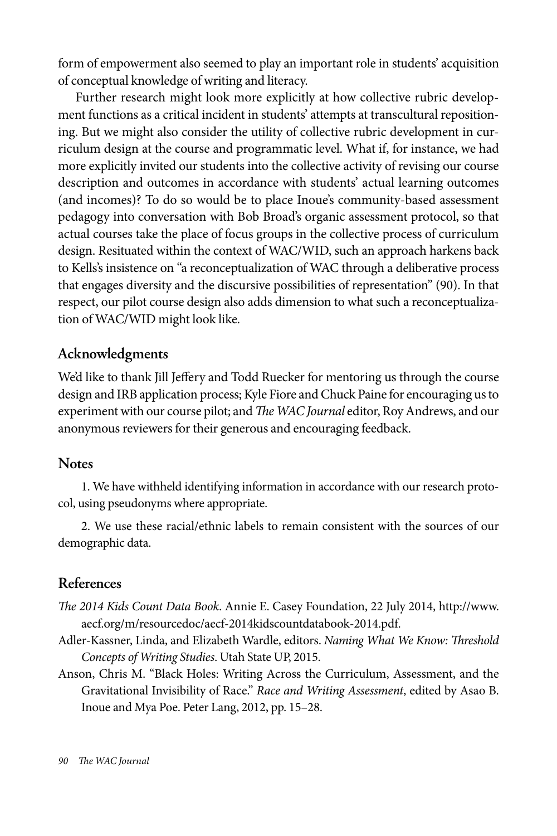form of empowerment also seemed to play an important role in students' acquisition of conceptual knowledge of writing and literacy.

Further research might look more explicitly at how collective rubric development functions as a critical incident in students' attempts at transcultural repositioning. But we might also consider the utility of collective rubric development in curriculum design at the course and programmatic level. What if, for instance, we had more explicitly invited our students into the collective activity of revising our course description and outcomes in accordance with students' actual learning outcomes (and incomes)? To do so would be to place Inoue's community-based assessment pedagogy into conversation with Bob Broad's organic assessment protocol, so that actual courses take the place of focus groups in the collective process of curriculum design. Resituated within the context of WAC/WID, such an approach harkens back to Kells's insistence on "a reconceptualization of WAC through a deliberative process that engages diversity and the discursive possibilities of representation" (90). In that respect, our pilot course design also adds dimension to what such a reconceptualization of WAC/WID might look like.

## **Acknowledgments**

We'd like to thank Jill Jeffery and Todd Ruecker for mentoring us through the course design and IRB application process; Kyle Fiore and Chuck Paine for encouraging us to experiment with our course pilot; and *The WAC Journal* editor, Roy Andrews, and our anonymous reviewers for their generous and encouraging feedback.

### **Notes**

1. We have withheld identifying information in accordance with our research protocol, using pseudonyms where appropriate.

2. We use these racial/ethnic labels to remain consistent with the sources of our demographic data.

## **References**

- *The 2014 Kids Count Data Book*. Annie E. Casey Foundation, 22 July 2014, http://www. aecf.org/m/resourcedoc/aecf-2014kidscountdatabook-2014.pdf.
- Adler-Kassner, Linda, and Elizabeth Wardle, editors. *Naming What We Know: Threshold Concepts of Writing Studies*. Utah State UP, 2015.
- Anson, Chris M. "Black Holes: Writing Across the Curriculum, Assessment, and the Gravitational Invisibility of Race." *Race and Writing Assessment*, edited by Asao B. Inoue and Mya Poe. Peter Lang, 2012, pp. 15–28.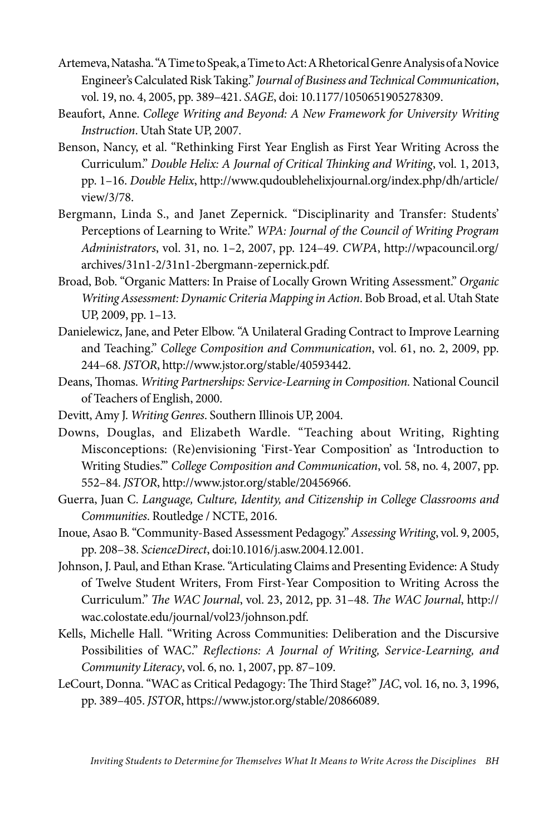- Artemeva, Natasha. "A Time to Speak, a Time to Act: A Rhetorical Genre Analysis of a Novice Engineer's Calculated Risk Taking." *Journal of Business and Technical Communication*, vol. 19, no. 4, 2005, pp. 389–421. *SAGE*, doi: 10.1177/1050651905278309.
- Beaufort, Anne. *College Writing and Beyond: A New Framework for University Writing Instruction*. Utah State UP, 2007.
- Benson, Nancy, et al. "Rethinking First Year English as First Year Writing Across the Curriculum." *Double Helix: A Journal of Critical Thinking and Writing*, vol. 1, 2013, pp. 1–16. *Double Helix*, http://www.qudoublehelixjournal.org/index.php/dh/article/ view/3/78.
- Bergmann, Linda S., and Janet Zepernick. "Disciplinarity and Transfer: Students' Perceptions of Learning to Write." *WPA: Journal of the Council of Writing Program Administrators*, vol. 31, no. 1–2, 2007, pp. 124–49. *CWPA*, http://wpacouncil.org/ archives/31n1-2/31n1-2bergmann-zepernick.pdf.
- Broad, Bob. "Organic Matters: In Praise of Locally Grown Writing Assessment." *Organic Writing Assessment: Dynamic Criteria Mapping in Action*. Bob Broad, et al. Utah State UP, 2009, pp. 1–13.
- Danielewicz, Jane, and Peter Elbow. "A Unilateral Grading Contract to Improve Learning and Teaching." *College Composition and Communication*, vol. 61, no. 2, 2009, pp. 244–68. *JSTOR*, http://www.jstor.org/stable/40593442.
- Deans, Thomas. *Writing Partnerships: Service-Learning in Composition.* National Council of Teachers of English, 2000.
- Devitt, Amy J. *Writing Genres*. Southern Illinois UP, 2004.
- Downs, Douglas, and Elizabeth Wardle. "Teaching about Writing, Righting Misconceptions: (Re)envisioning 'First-Year Composition' as 'Introduction to Writing Studies.'" *College Composition and Communication*, vol. 58, no. 4, 2007, pp. 552–84. *JSTOR*, http://www.jstor.org/stable/20456966.
- Guerra, Juan C. *Language, Culture, Identity, and Citizenship in College Classrooms and Communities*. Routledge / NCTE, 2016.
- Inoue, Asao B. "Community-Based Assessment Pedagogy." *Assessing Writing*, vol. 9, 2005, pp. 208–38. *ScienceDirect*, doi:10.1016/j.asw.2004.12.001.
- Johnson, J. Paul, and Ethan Krase. "Articulating Claims and Presenting Evidence: A Study of Twelve Student Writers, From First-Year Composition to Writing Across the Curriculum." *The WAC Journal*, vol. 23, 2012, pp. 31–48. *The WAC Journal*, http:// wac.colostate.edu/journal/vol23/johnson.pdf.
- Kells, Michelle Hall. "Writing Across Communities: Deliberation and the Discursive Possibilities of WAC." *Reflections: A Journal of Writing, Service-Learning, and Community Literacy*, vol. 6, no. 1, 2007, pp. 87–109.
- LeCourt, Donna. "WAC as Critical Pedagogy: The Third Stage?" *JAC*, vol. 16, no. 3, 1996, pp. 389–405. *JSTOR*, https://www.jstor.org/stable/20866089.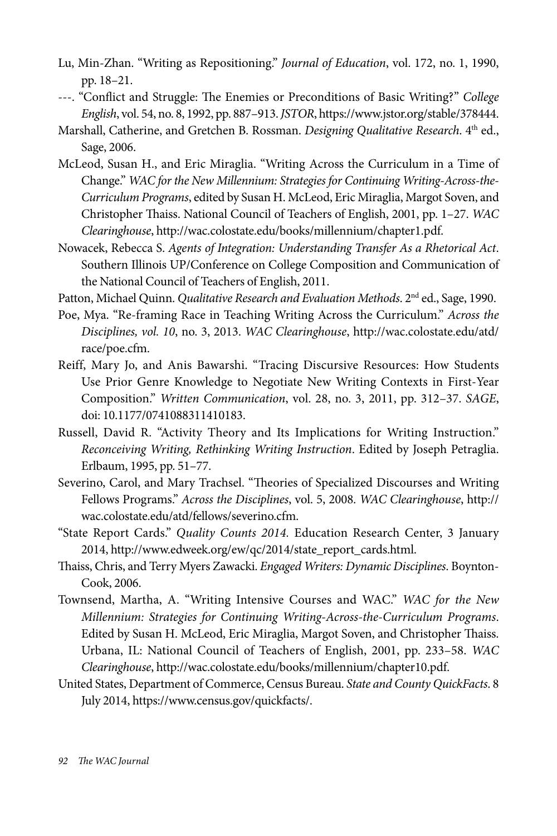- Lu, Min-Zhan. "Writing as Repositioning." *Journal of Education*, vol. 172, no. 1, 1990, pp. 18–21.
- ---. "Conflict and Struggle: The Enemies or Preconditions of Basic Writing?" *College English*, vol. 54, no. 8, 1992, pp. 887–913. *JSTOR*, https://www.jstor.org/stable/378444.
- Marshall, Catherine, and Gretchen B. Rossman. *Designing Qualitative Research*. 4<sup>th</sup> ed., Sage, 2006.
- McLeod, Susan H., and Eric Miraglia. "Writing Across the Curriculum in a Time of Change." *WAC for the New Millennium: Strategies for Continuing Writing-Across-the-Curriculum Programs*, edited by Susan H. McLeod, Eric Miraglia, Margot Soven, and Christopher Thaiss. National Council of Teachers of English, 2001, pp. 1–27. *WAC Clearinghouse*, http://wac.colostate.edu/books/millennium/chapter1.pdf.
- Nowacek, Rebecca S. *Agents of Integration: Understanding Transfer As a Rhetorical Act*. Southern Illinois UP/Conference on College Composition and Communication of the National Council of Teachers of English, 2011.

Patton, Michael Quinn. *Qualitative Research and Evaluation Methods*. 2<sup>nd</sup> ed., Sage, 1990.

- Poe, Mya. "Re-framing Race in Teaching Writing Across the Curriculum." *Across the Disciplines, vol. 10*, no. 3, 2013. *WAC Clearinghouse*, http://wac.colostate.edu/atd/ race/poe.cfm.
- Reiff, Mary Jo, and Anis Bawarshi. "Tracing Discursive Resources: How Students Use Prior Genre Knowledge to Negotiate New Writing Contexts in First-Year Composition." *Written Communication*, vol. 28, no. 3, 2011, pp. 312–37. *SAGE*, doi: 10.1177/0741088311410183.
- Russell, David R. "Activity Theory and Its Implications for Writing Instruction." *Reconceiving Writing, Rethinking Writing Instruction*. Edited by Joseph Petraglia. Erlbaum, 1995, pp. 51–77.
- Severino, Carol, and Mary Trachsel. "Theories of Specialized Discourses and Writing Fellows Programs." *Across the Disciplines*, vol. 5, 2008. *WAC Clearinghouse*, http:// wac.colostate.edu/atd/fellows/severino.cfm.
- "State Report Cards." *Quality Counts 2014.* Education Research Center, 3 January 2014, http://www.edweek.org/ew/qc/2014/state\_report\_cards.html.
- Thaiss, Chris, and Terry Myers Zawacki. *Engaged Writers: Dynamic Disciplines*. Boynton-Cook, 2006.
- Townsend, Martha, A. "Writing Intensive Courses and WAC." *WAC for the New Millennium: Strategies for Continuing Writing-Across-the-Curriculum Programs*. Edited by Susan H. McLeod, Eric Miraglia, Margot Soven, and Christopher Thaiss. Urbana, IL: National Council of Teachers of English, 2001, pp. 233–58. *WAC Clearinghouse*, http://wac.colostate.edu/books/millennium/chapter10.pdf.
- United States, Department of Commerce, Census Bureau. *State and County QuickFacts*. 8 July 2014, https://www.census.gov/quickfacts/.